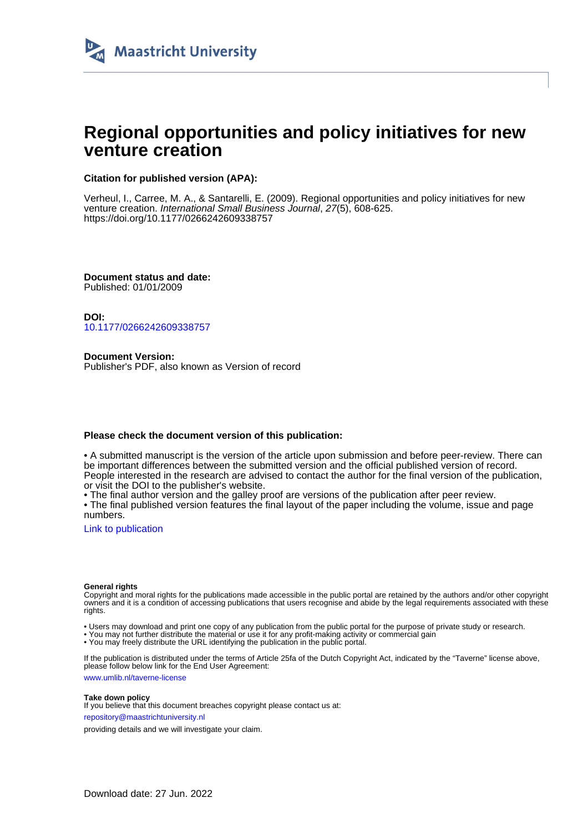

# **Regional opportunities and policy initiatives for new venture creation**

### **Citation for published version (APA):**

Verheul, I., Carree, M. A., & Santarelli, E. (2009). Regional opportunities and policy initiatives for new venture creation. International Small Business Journal, 27(5), 608-625. <https://doi.org/10.1177/0266242609338757>

**Document status and date:** Published: 01/01/2009

**DOI:** [10.1177/0266242609338757](https://doi.org/10.1177/0266242609338757)

**Document Version:** Publisher's PDF, also known as Version of record

#### **Please check the document version of this publication:**

• A submitted manuscript is the version of the article upon submission and before peer-review. There can be important differences between the submitted version and the official published version of record. People interested in the research are advised to contact the author for the final version of the publication, or visit the DOI to the publisher's website.

• The final author version and the galley proof are versions of the publication after peer review.

• The final published version features the final layout of the paper including the volume, issue and page numbers.

[Link to publication](https://cris.maastrichtuniversity.nl/en/publications/4736efc6-d3a3-4944-b5dc-bd4b4e6a993b)

#### **General rights**

Copyright and moral rights for the publications made accessible in the public portal are retained by the authors and/or other copyright owners and it is a condition of accessing publications that users recognise and abide by the legal requirements associated with these rights.

• Users may download and print one copy of any publication from the public portal for the purpose of private study or research.

• You may not further distribute the material or use it for any profit-making activity or commercial gain

• You may freely distribute the URL identifying the publication in the public portal.

If the publication is distributed under the terms of Article 25fa of the Dutch Copyright Act, indicated by the "Taverne" license above, please follow below link for the End User Agreement:

www.umlib.nl/taverne-license

#### **Take down policy**

If you believe that this document breaches copyright please contact us at: repository@maastrichtuniversity.nl

providing details and we will investigate your claim.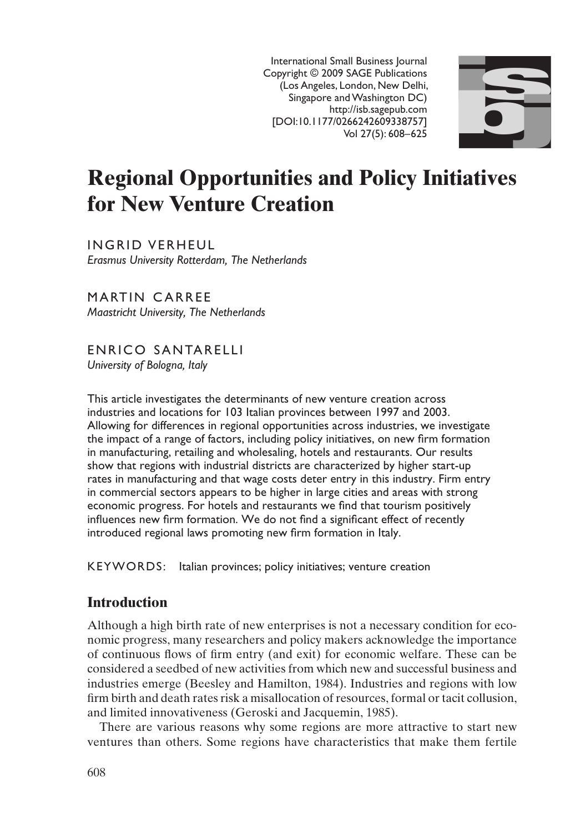*International Small Business Journal 27(5)* International Small Business Journal Copyright © 2009 SAGE Publications (Los Angeles, London, New Delhi, Singapore and Washington DC) http://isb.sagepub.com [DOI:10.1177/0266242609338757]



# **Regional Opportunities and Policy Initiatives for New Venture Creation**

**INGRID VERHEUL** *Erasmus University Rotterdam, The Netherlands*

**MARTIN CARREE** *Maastricht University, The Netherlands*

ENRICO SANTARFILI *University of Bologna, Italy*

This article investigates the determinants of new venture creation across industries and locations for 103 Italian provinces between 1997 and 2003. Allowing for differences in regional opportunities across industries, we investigate the impact of a range of factors, including policy initiatives, on new firm formation in manufacturing, retailing and wholesaling, hotels and restaurants. Our results show that regions with industrial districts are characterized by higher start-up rates in manufacturing and that wage costs deter entry in this industry. Firm entry in commercial sectors appears to be higher in large cities and areas with strong economic progress. For hotels and restaurants we find that tourism positively influences new firm formation. We do not find a significant effect of recently introduced regional laws promoting new firm formation in Italy.

KEYWORDS: Italian provinces; policy initiatives; venture creation

# **Introduction**

Although a high birth rate of new enterprises is not a necessary condition for economic progress, many researchers and policy makers acknowledge the importance of continuous flows of firm entry (and exit) for economic welfare. These can be considered a seedbed of new activities from which new and successful business and industries emerge (Beesley and Hamilton, 1984). Industries and regions with low firm birth and death rates risk a misallocation of resources, formal or tacit collusion, and limited innovativeness (Geroski and Jacquemin, 1985).

There are various reasons why some regions are more attractive to start new ventures than others. Some regions have characteristics that make them fertile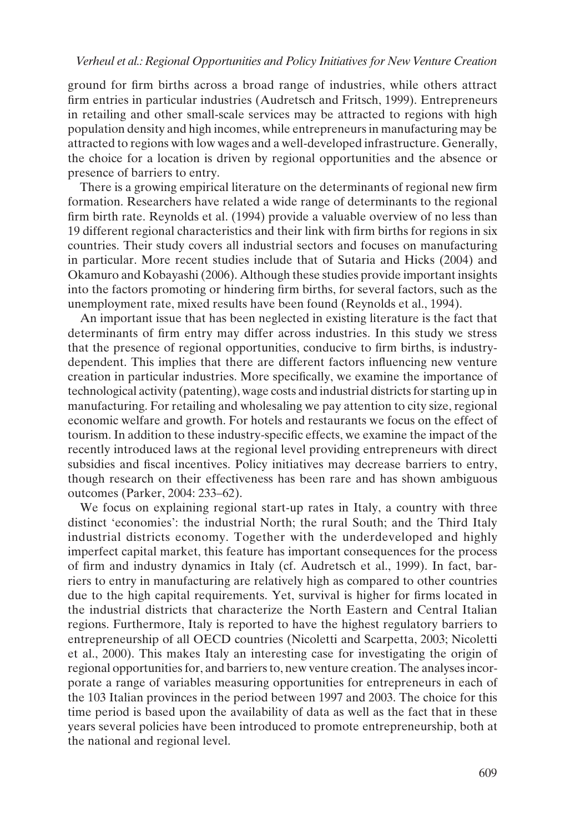ground for firm births across a broad range of industries, while others attract firm entries in particular industries (Audretsch and Fritsch, 1999). Entrepreneurs in retailing and other small-scale services may be attracted to regions with high population density and high incomes, while entrepreneurs in manufacturing may be attracted to regions with low wages and a well-developed infrastructure. Generally, the choice for a location is driven by regional opportunities and the absence or presence of barriers to entry.

There is a growing empirical literature on the determinants of regional new firm formation. Researchers have related a wide range of determinants to the regional firm birth rate. Reynolds et al. (1994) provide a valuable overview of no less than 19 different regional characteristics and their link with firm births for regions in six countries. Their study covers all industrial sectors and focuses on manufacturing in particular. More recent studies include that of Sutaria and Hicks (2004) and Okamuro and Kobayashi (2006). Although these studies provide important insights into the factors promoting or hindering firm births, for several factors, such as the unemployment rate, mixed results have been found (Reynolds et al., 1994).

An important issue that has been neglected in existing literature is the fact that determinants of firm entry may differ across industries. In this study we stress that the presence of regional opportunities, conducive to firm births, is industrydependent. This implies that there are different factors influencing new venture creation in particular industries. More specifically, we examine the importance of technological activity (patenting), wage costs and industrial districts for starting up in manufacturing. For retailing and wholesaling we pay attention to city size, regional economic welfare and growth. For hotels and restaurants we focus on the effect of tourism. In addition to these industry-specific effects, we examine the impact of the recently introduced laws at the regional level providing entrepreneurs with direct subsidies and fiscal incentives. Policy initiatives may decrease barriers to entry, though research on their effectiveness has been rare and has shown ambiguous outcomes (Parker, 2004: 233–62).

We focus on explaining regional start-up rates in Italy, a country with three distinct 'economies': the industrial North; the rural South; and the Third Italy industrial districts economy. Together with the underdeveloped and highly imperfect capital market, this feature has important consequences for the process of firm and industry dynamics in Italy (cf. Audretsch et al., 1999). In fact, barriers to entry in manufacturing are relatively high as compared to other countries due to the high capital requirements. Yet, survival is higher for firms located in the industrial districts that characterize the North Eastern and Central Italian regions. Furthermore, Italy is reported to have the highest regulatory barriers to entrepreneurship of all OECD countries (Nicoletti and Scarpetta, 2003; Nicoletti et al., 2000). This makes Italy an interesting case for investigating the origin of regional opportunities for, and barriers to, new venture creation. The analyses incorporate a range of variables measuring opportunities for entrepreneurs in each of the 103 Italian provinces in the period between 1997 and 2003. The choice for this time period is based upon the availability of data as well as the fact that in these years several policies have been introduced to promote entrepreneurship, both at the national and regional level.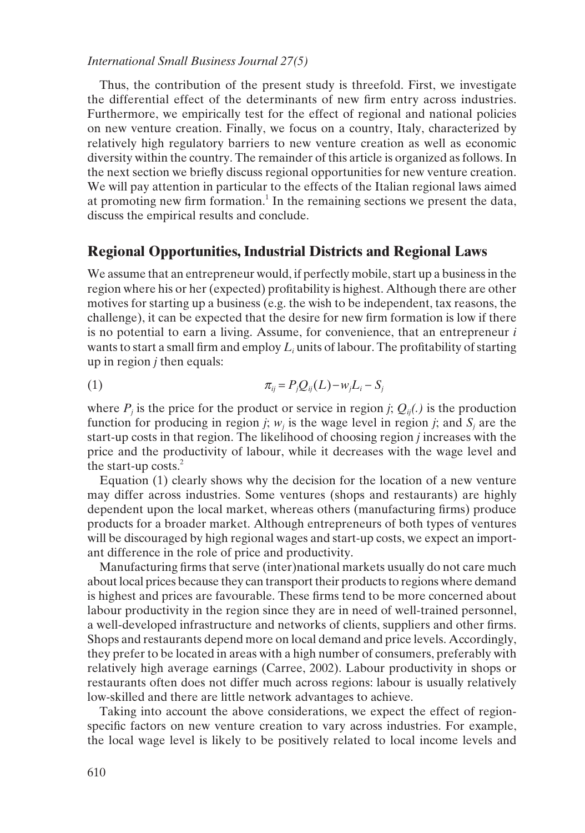Thus, the contribution of the present study is threefold. First, we investigate the differential effect of the determinants of new firm entry across industries. Furthermore, we empirically test for the effect of regional and national policies on new venture creation. Finally, we focus on a country, Italy, characterized by relatively high regulatory barriers to new venture creation as well as economic diversity within the country. The remainder of this article is organized as follows. In the next section we briefly discuss regional opportunities for new venture creation. We will pay attention in particular to the effects of the Italian regional laws aimed at promoting new firm formation.<sup>1</sup> In the remaining sections we present the data, discuss the empirical results and conclude.

# **Regional Opportunities, Industrial Districts and Regional Laws**

We assume that an entrepreneur would, if perfectly mobile, start up a business in the region where his or her (expected) profitability is highest. Although there are other motives for starting up a business (e.g. the wish to be independent, tax reasons, the challenge), it can be expected that the desire for new firm formation is low if there is no potential to earn a living. Assume, for convenience, that an entrepreneur *i* wants to start a small firm and employ  $L_i$  units of labour. The profitability of starting up in region *j* then equals:

$$
\pi_{ij} = P_j Q_{ij}(L) - w_j L_i - S_j
$$

where  $P_j$  is the price for the product or service in region *j*;  $Q_{ij}$ . is the production function for producing in region *j*;  $w_j$  is the wage level in region *j*; and  $S_j$  are the start-up costs in that region. The likelihood of choosing region *j* increases with the price and the productivity of labour, while it decreases with the wage level and the start-up costs.<sup>2</sup>

Equation (1) clearly shows why the decision for the location of a new venture may differ across industries. Some ventures (shops and restaurants) are highly dependent upon the local market, whereas others (manufacturing firms) produce products for a broader market. Although entrepreneurs of both types of ventures will be discouraged by high regional wages and start-up costs, we expect an important difference in the role of price and productivity.

Manufacturing firms that serve (inter)national markets usually do not care much about local prices because they can transport their products to regions where demand is highest and prices are favourable. These firms tend to be more concerned about labour productivity in the region since they are in need of well-trained personnel, a well-developed infrastructure and networks of clients, suppliers and other firms. Shops and restaurants depend more on local demand and price levels. Accordingly, they prefer to be located in areas with a high number of consumers, preferably with relatively high average earnings (Carree, 2002). Labour productivity in shops or restaurants often does not differ much across regions: labour is usually relatively low-skilled and there are little network advantages to achieve.

Taking into account the above considerations, we expect the effect of regionspecific factors on new venture creation to vary across industries. For example, the local wage level is likely to be positively related to local income levels and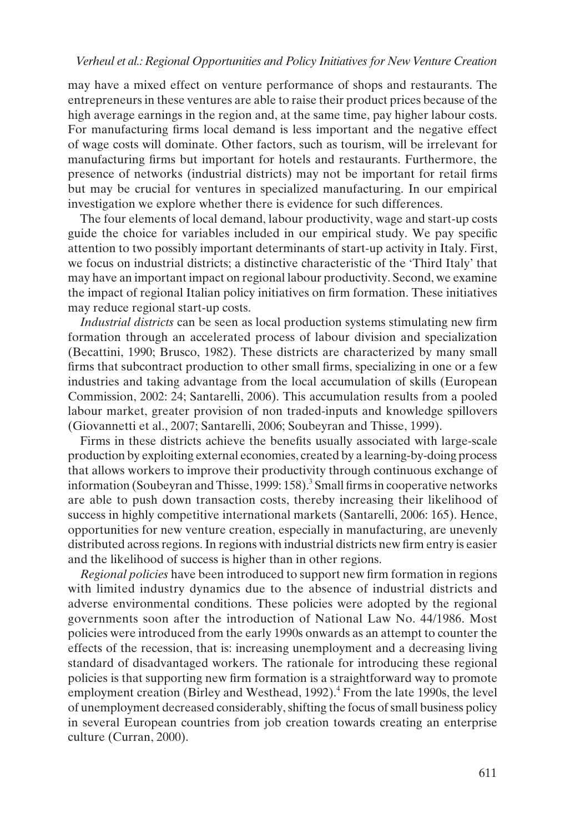may have a mixed effect on venture performance of shops and restaurants. The entrepreneurs in these ventures are able to raise their product prices because of the high average earnings in the region and, at the same time, pay higher labour costs. For manufacturing firms local demand is less important and the negative effect of wage costs will dominate. Other factors, such as tourism, will be irrelevant for manufacturing firms but important for hotels and restaurants. Furthermore, the presence of networks (industrial districts) may not be important for retail firms but may be crucial for ventures in specialized manufacturing. In our empirical investigation we explore whether there is evidence for such differences.

The four elements of local demand, labour productivity, wage and start-up costs guide the choice for variables included in our empirical study. We pay specific attention to two possibly important determinants of start-up activity in Italy. First, we focus on industrial districts; a distinctive characteristic of the 'Third Italy' that may have an important impact on regional labour productivity. Second, we examine the impact of regional Italian policy initiatives on firm formation. These initiatives may reduce regional start-up costs.

*Industrial districts* can be seen as local production systems stimulating new firm formation through an accelerated process of labour division and specialization (Becattini, 1990; Brusco, 1982). These districts are characterized by many small firms that subcontract production to other small firms, specializing in one or a few industries and taking advantage from the local accumulation of skills (European Commission, 2002: 24; Santarelli, 2006). This accumulation results from a pooled labour market, greater provision of non traded-inputs and knowledge spillovers (Giovannetti et al., 2007; Santarelli, 2006; Soubeyran and Thisse, 1999).

Firms in these districts achieve the benefits usually associated with large-scale production by exploiting external economies, created by a learning-by-doing process that allows workers to improve their productivity through continuous exchange of information (Soubeyran and Thisse, 1999: 158).<sup>3</sup> Small firms in cooperative networks are able to push down transaction costs, thereby increasing their likelihood of success in highly competitive international markets (Santarelli, 2006: 165). Hence, opportunities for new venture creation, especially in manufacturing, are unevenly distributed across regions. In regions with industrial districts new firm entry is easier and the likelihood of success is higher than in other regions.

*Regional policies* have been introduced to support new firm formation in regions with limited industry dynamics due to the absence of industrial districts and adverse environmental conditions. These policies were adopted by the regional governments soon after the introduction of National Law No. 44/1986. Most policies were introduced from the early 1990s onwards as an attempt to counter the effects of the recession, that is: increasing unemployment and a decreasing living standard of disadvantaged workers. The rationale for introducing these regional policies is that supporting new firm formation is a straightforward way to promote employment creation (Birley and Westhead, 1992).<sup>4</sup> From the late 1990s, the level of unemployment decreased considerably, shifting the focus of small business policy in several European countries from job creation towards creating an enterprise culture (Curran, 2000).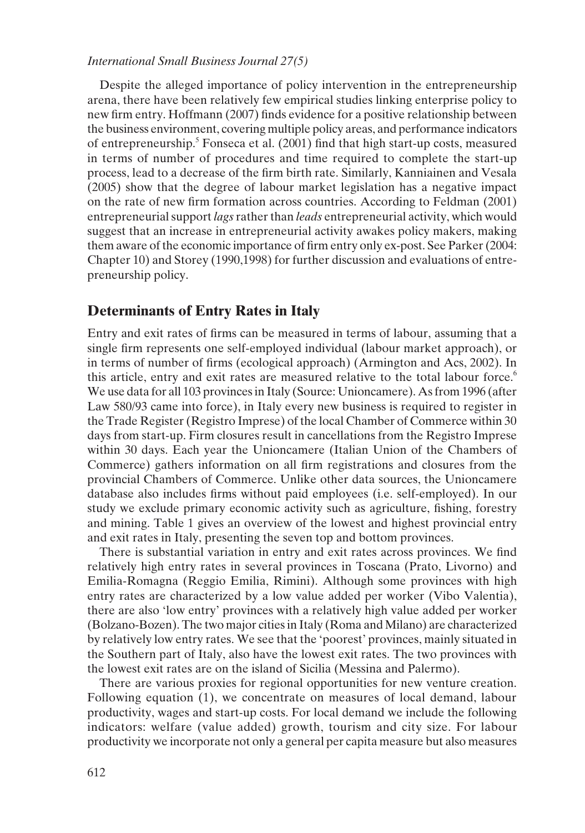Despite the alleged importance of policy intervention in the entrepreneurship arena, there have been relatively few empirical studies linking enterprise policy to new firm entry. Hoffmann (2007) finds evidence for a positive relationship between the business environment, covering multiple policy areas, and performance indicators of entrepreneurship.<sup>5</sup> Fonseca et al. (2001) find that high start-up costs, measured in terms of number of procedures and time required to complete the start-up process, lead to a decrease of the firm birth rate. Similarly, Kanniainen and Vesala (2005) show that the degree of labour market legislation has a negative impact on the rate of new firm formation across countries. According to Feldman (2001) entrepreneurial support *lags* rather than *leads* entrepreneurial activity, which would suggest that an increase in entrepreneurial activity awakes policy makers, making them aware of the economic importance of firm entry only ex-post. See Parker (2004: Chapter 10) and Storey (1990,1998) for further discussion and evaluations of entrepreneurship policy.

## **Determinants of Entry Rates in Italy**

Entry and exit rates of firms can be measured in terms of labour, assuming that a single firm represents one self-employed individual (labour market approach), or in terms of number of firms (ecological approach) (Armington and Acs, 2002). In this article, entry and exit rates are measured relative to the total labour force.<sup>6</sup> We use data for all 103 provinces in Italy (Source: Unioncamere). As from 1996 (after Law 580/93 came into force), in Italy every new business is required to register in the Trade Register (Registro Imprese) of the local Chamber of Commerce within 30 days from start-up. Firm closures result in cancellations from the Registro Imprese within 30 days. Each year the Unioncamere (Italian Union of the Chambers of Commerce) gathers information on all firm registrations and closures from the provincial Chambers of Commerce. Unlike other data sources, the Unioncamere database also includes firms without paid employees (i.e. self-employed). In our study we exclude primary economic activity such as agriculture, fishing, forestry and mining. Table 1 gives an overview of the lowest and highest provincial entry and exit rates in Italy, presenting the seven top and bottom provinces.

There is substantial variation in entry and exit rates across provinces. We find relatively high entry rates in several provinces in Toscana (Prato, Livorno) and Emilia-Romagna (Reggio Emilia, Rimini). Although some provinces with high entry rates are characterized by a low value added per worker (Vibo Valentia), there are also 'low entry' provinces with a relatively high value added per worker (Bolzano-Bozen). The two major cities in Italy (Roma and Milano) are characterized by relatively low entry rates. We see that the 'poorest' provinces, mainly situated in the Southern part of Italy, also have the lowest exit rates. The two provinces with the lowest exit rates are on the island of Sicilia (Messina and Palermo).

There are various proxies for regional opportunities for new venture creation. Following equation (1), we concentrate on measures of local demand, labour productivity, wages and start-up costs. For local demand we include the following indicators: welfare (value added) growth, tourism and city size. For labour productivity we incorporate not only a general per capita measure but also measures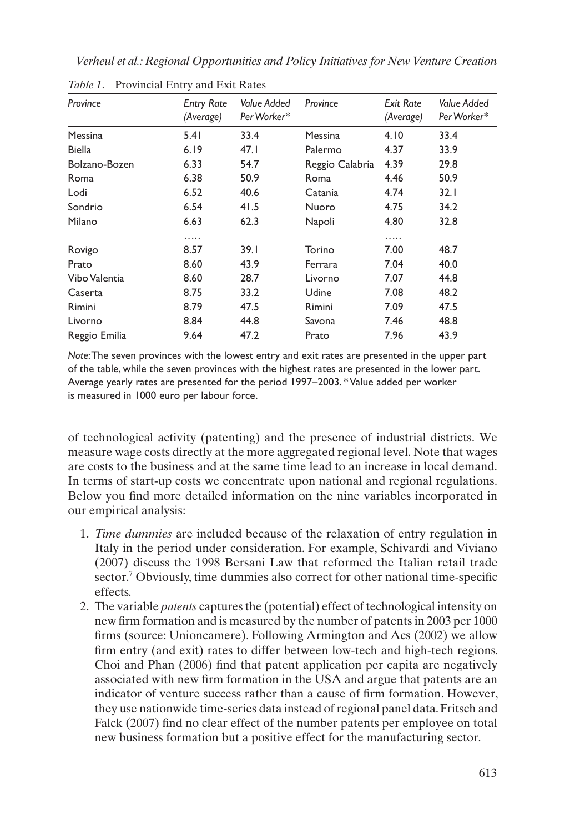| Province      | <b>Entry Rate</b><br>(Average) | Value Added<br>Per Worker* | Province        | <b>Exit Rate</b><br>(Average) | Value Added<br>Per Worker* |  |
|---------------|--------------------------------|----------------------------|-----------------|-------------------------------|----------------------------|--|
| Messina       | 5.41                           | 33.4                       | Messina         | 4.10                          | 33.4                       |  |
| <b>Biella</b> | 6.19                           | 47.1                       | Palermo         | 4.37                          | 33.9                       |  |
| Bolzano-Bozen | 6.33                           | 54.7                       | Reggio Calabria | 4.39                          | 29.8                       |  |
| Roma          | 6.38                           | 50.9                       | Roma            | 4.46                          | 50.9                       |  |
| Lodi          | 6.52                           | 40.6                       | Catania         | 4.74                          | 32.1                       |  |
| Sondrio       | 6.54                           | 41.5                       | Nuoro           | 4.75                          | 34.2                       |  |
| Milano        | 6.63                           | 62.3                       | Napoli          | 4.80                          | 32.8                       |  |
|               | .                              |                            |                 | .                             |                            |  |
| Rovigo        | 8.57                           | 39.1                       | Torino          | 7.00                          | 48.7                       |  |
| Prato         | 8.60                           | 43.9                       | Ferrara         | 7.04                          | 40.0                       |  |
| Vibo Valentia | 8.60                           | 28.7                       | Livorno         | 7.07                          | 44.8                       |  |
| Caserta       | 8.75                           | 33.2                       | Udine           | 7.08                          | 48.2                       |  |
| Rimini        | 8.79                           | 47.5                       | Rimini          | 7.09                          | 47.5                       |  |
| Livorno       | 8.84                           | 44.8                       | Savona          | 7.46                          | 48.8                       |  |
| Reggio Emilia | 9.64                           | 47.2                       | Prato           | 7.96                          | 43.9                       |  |

*Verheul et al.: Regional Opportunities and Policy Initiatives for New Venture Creation*

*Table 1*. Provincial Entry and Exit Rates

*Note*: The seven provinces with the lowest entry and exit rates are presented in the upper part of the table, while the seven provinces with the highest rates are presented in the lower part. Average yearly rates are presented for the period 1997–2003. \* Value added per worker is measured in 1000 euro per labour force.

of technological activity (patenting) and the presence of industrial districts. We measure wage costs directly at the more aggregated regional level. Note that wages are costs to the business and at the same time lead to an increase in local demand. In terms of start-up costs we concentrate upon national and regional regulations. Below you find more detailed information on the nine variables incorporated in our empirical analysis:

- 1. *Time dummies* are included because of the relaxation of entry regulation in Italy in the period under consideration. For example, Schivardi and Viviano (2007) discuss the 1998 Bersani Law that reformed the Italian retail trade sector.<sup>7</sup> Obviously, time dummies also correct for other national time-specific effects.
- 2. The variable *patents* captures the (potential) effect of technological intensity on new firm formation and is measured by the number of patents in 2003 per 1000 firms (source: Unioncamere). Following Armington and Acs (2002) we allow firm entry (and exit) rates to differ between low-tech and high-tech regions. Choi and Phan (2006) find that patent application per capita are negatively associated with new firm formation in the USA and argue that patents are an indicator of venture success rather than a cause of firm formation. However, they use nationwide time-series data instead of regional panel data. Fritsch and Falck (2007) find no clear effect of the number patents per employee on total new business formation but a positive effect for the manufacturing sector.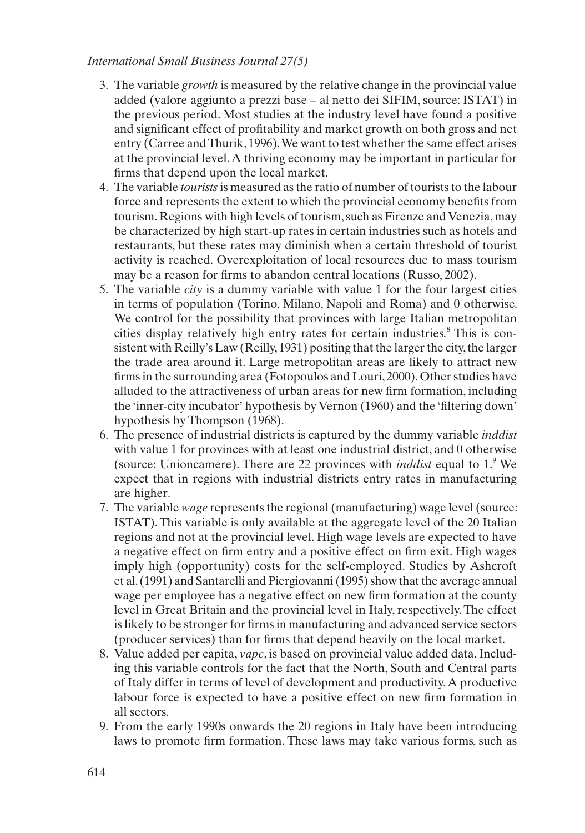- 3. The variable *growth* is measured by the relative change in the provincial value added (valore aggiunto a prezzi base – al netto dei SIFIM, source: ISTAT) in the previous period. Most studies at the industry level have found a positive and significant effect of profitability and market growth on both gross and net entry (Carree and Thurik, 1996). We want to test whether the same effect arises at the provincial level. A thriving economy may be important in particular for firms that depend upon the local market.
- 4. The variable *tourists* is measured as the ratio of number of tourists to the labour force and represents the extent to which the provincial economy benefits from tourism. Regions with high levels of tourism, such as Firenze and Venezia, may be characterized by high start-up rates in certain industries such as hotels and restaurants, but these rates may diminish when a certain threshold of tourist activity is reached. Overexploitation of local resources due to mass tourism may be a reason for firms to abandon central locations (Russo, 2002).
- 5. The variable *city* is a dummy variable with value 1 for the four largest cities in terms of population (Torino, Milano, Napoli and Roma) and 0 otherwise. We control for the possibility that provinces with large Italian metropolitan cities display relatively high entry rates for certain industries.<sup>8</sup> This is consistent with Reilly's Law (Reilly, 1931) positing that the larger the city, the larger the trade area around it. Large metropolitan areas are likely to attract new firms in the surrounding area (Fotopoulos and Louri, 2000). Other studies have alluded to the attractiveness of urban areas for new firm formation, including the 'inner-city incubator' hypothesis by Vernon (1960) and the 'filtering down' hypothesis by Thompson (1968).
- 6. The presence of industrial districts is captured by the dummy variable *inddist* with value 1 for provinces with at least one industrial district, and 0 otherwise (source: Unioncamere). There are 22 provinces with *inddist* equal to 1.<sup>9</sup> We expect that in regions with industrial districts entry rates in manufacturing are higher.
- 7. The variable *wage* represents the regional (manufacturing) wage level (source: ISTAT). This variable is only available at the aggregate level of the 20 Italian regions and not at the provincial level. High wage levels are expected to have a negative effect on firm entry and a positive effect on firm exit. High wages imply high (opportunity) costs for the self-employed. Studies by Ashcroft et al. (1991) and Santarelli and Piergiovanni (1995) show that the average annual wage per employee has a negative effect on new firm formation at the county level in Great Britain and the provincial level in Italy, respectively. The effect is likely to be stronger for firms in manufacturing and advanced service sectors (producer services) than for firms that depend heavily on the local market.
- 8. Value added per capita, *vapc*, is based on provincial value added data. Including this variable controls for the fact that the North, South and Central parts of Italy differ in terms of level of development and productivity. A productive labour force is expected to have a positive effect on new firm formation in all sectors.
- 9. From the early 1990s onwards the 20 regions in Italy have been introducing laws to promote firm formation. These laws may take various forms, such as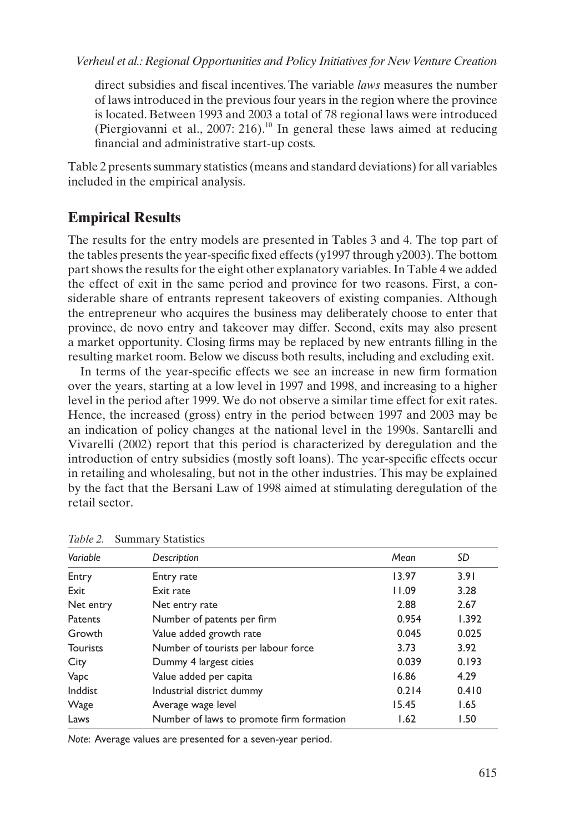direct subsidies and fiscal incentives. The variable *laws* measures the number of laws introduced in the previous four years in the region where the province is located. Between 1993 and 2003 a total of 78 regional laws were introduced (Piergiovanni et al., 2007: 216).<sup>10</sup> In general these laws aimed at reducing financial and administrative start-up costs.

Table 2 presents summary statistics (means and standard deviations) for all variables included in the empirical analysis.

# **Empirical Results**

The results for the entry models are presented in Tables 3 and 4. The top part of the tables presents the year-specific fixed effects (y1997 through y2003). The bottom part shows the results for the eight other explanatory variables. In Table 4 we added the effect of exit in the same period and province for two reasons. First, a considerable share of entrants represent takeovers of existing companies. Although the entrepreneur who acquires the business may deliberately choose to enter that province, de novo entry and takeover may differ. Second, exits may also present a market opportunity. Closing firms may be replaced by new entrants filling in the resulting market room. Below we discuss both results, including and excluding exit.

In terms of the year-specific effects we see an increase in new firm formation over the years, starting at a low level in 1997 and 1998, and increasing to a higher level in the period after 1999. We do not observe a similar time effect for exit rates. Hence, the increased (gross) entry in the period between 1997 and 2003 may be an indication of policy changes at the national level in the 1990s. Santarelli and Vivarelli (2002) report that this period is characterized by deregulation and the introduction of entry subsidies (mostly soft loans). The year-specific effects occur in retailing and wholesaling, but not in the other industries. This may be explained by the fact that the Bersani Law of 1998 aimed at stimulating deregulation of the retail sector.

| Variable        | Description                              | Mean  | SD    |
|-----------------|------------------------------------------|-------|-------|
| Entry           | Entry rate                               | 13.97 | 3.91  |
| Exit            | Exit rate                                | 11.09 | 3.28  |
| Net entry       | Net entry rate                           | 2.88  | 2.67  |
| Patents         | Number of patents per firm               | 0.954 | 1.392 |
| Growth          | Value added growth rate                  | 0.045 | 0.025 |
| <b>Tourists</b> | Number of tourists per labour force      | 3.73  | 3.92  |
| City            | Dummy 4 largest cities                   | 0.039 | 0.193 |
| Vapc            | Value added per capita                   | 16.86 | 4.29  |
| Inddist         | Industrial district dummy                | 0.214 | 0.410 |
| Wage            | Average wage level                       | 15.45 | 1.65  |
| Laws            | Number of laws to promote firm formation | 1.62  | 1.50  |
|                 |                                          |       |       |

*Table 2.* Summary Statistics

*Note*: Average values are presented for a seven-year period.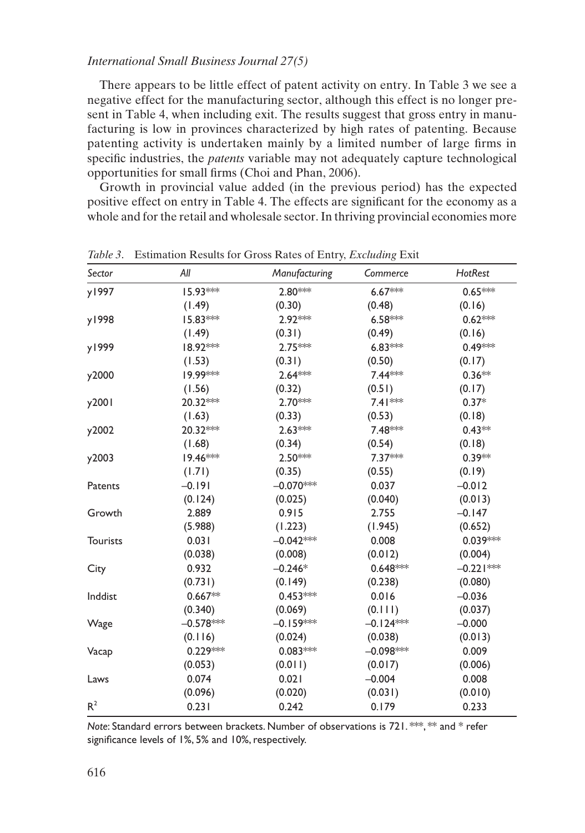There appears to be little effect of patent activity on entry. In Table 3 we see a negative effect for the manufacturing sector, although this effect is no longer present in Table 4, when including exit. The results suggest that gross entry in manufacturing is low in provinces characterized by high rates of patenting. Because patenting activity is undertaken mainly by a limited number of large firms in specific industries, the *patents* variable may not adequately capture technological opportunities for small firms (Choi and Phan, 2006).

Growth in provincial value added (in the previous period) has the expected positive effect on entry in Table 4. The effects are significant for the economy as a whole and for the retail and wholesale sector. In thriving provincial economies more

| Sector          | All         | Manufacturing | Commerce    | HotRest     |
|-----------------|-------------|---------------|-------------|-------------|
| y1997           | $15.93***$  | 2.80***       | $6.67***$   | $0.65***$   |
|                 | (1.49)      | (0.30)        | (0.48)      | (0.16)      |
| y1998           | 15.83***    | 2.92 ***      | $6.58***$   | $0.62***$   |
|                 | (1.49)      | (0.31)        | (0.49)      | (0.16)      |
| y 1999          | 18.92***    | $2.75***$     | $6.83***$   | 0.49***     |
|                 | (1.53)      | (0.31)        | (0.50)      | (0.17)      |
| y2000           | 19.99***    | $2.64***$     | 7.44***     | $0.36**$    |
|                 | (1.56)      | (0.32)        | (0.51)      | (0.17)      |
| y2001           | 20.32***    | 2.70***       | $7.41***$   | $0.37*$     |
|                 | (1.63)      | (0.33)        | (0.53)      | (0.18)      |
| y2002           | 20.32***    | $2.63***$     | 7.48***     | $0.43**$    |
|                 | (1.68)      | (0.34)        | (0.54)      | (0.18)      |
| y2003           | 19.46***    | 2.50***       | 7.37***     | $0.39**$    |
|                 | (1.71)      | (0.35)        | (0.55)      | (0.19)      |
| Patents         | $-0.191$    | $-0.070$ ***  | 0.037       | $-0.012$    |
|                 | (0.124)     | (0.025)       | (0.040)     | (0.013)     |
| Growth          | 2.889       | 0.915         | 2.755       | $-0.147$    |
|                 | (5.988)     | (1.223)       | (1.945)     | (0.652)     |
| <b>Tourists</b> | 0.031       | $-0.042***$   | 0.008       | 0.039***    |
|                 | (0.038)     | (0.008)       | (0.012)     | (0.004)     |
| City            | 0.932       | $-0.246*$     | 0.648***    | $-0.221***$ |
|                 | (0.731)     | (0.149)       | (0.238)     | (0.080)     |
| Inddist         | $0.667**$   | $0.453***$    | 0.016       | $-0.036$    |
|                 | (0.340)     | (0.069)       | (0.111)     | (0.037)     |
| Wage            | $-0.578$ ** | $-0.159***$   | $-0.124***$ | $-0.000$    |
|                 | (0.116)     | (0.024)       | (0.038)     | (0.013)     |
| Vacap           | 0.229***    | $0.083***$    | $-0.098***$ | 0.009       |
|                 | (0.053)     | (0.011)       | (0.017)     | (0.006)     |
| Laws            | 0.074       | 0.021         | $-0.004$    | 0.008       |
|                 | (0.096)     | (0.020)       | (0.031)     | (0.010)     |
| R <sup>2</sup>  | 0.231       | 0.242         | 0.179       | 0.233       |

*Table 3*. Estimation Results for Gross Rates of Entry, *Excluding* Exit

*Note*: Standard errors between brackets. Number of observations is 721. \*\*\*, \*\* and \* refer significance levels of 1%, 5% and 10%, respectively.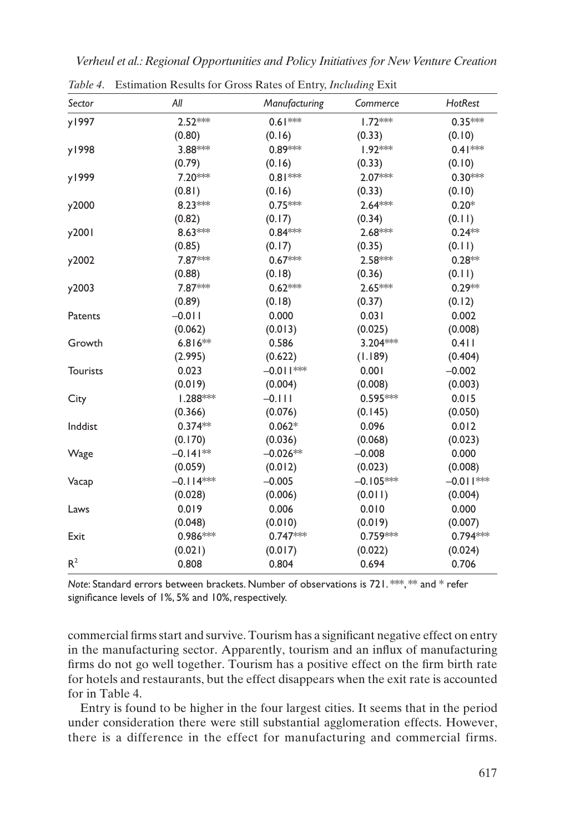| Sector          | All         | Manufacturing | Commerce    | HotRest     |
|-----------------|-------------|---------------|-------------|-------------|
| y1997           | $2.52***$   | $0.61***$     | $1.72***$   | $0.35***$   |
|                 | (0.80)      | (0.16)        | (0.33)      | (0.10)      |
| y1998           | 3.88***     | $0.89***$     | 1.92 ***    | $0.41***$   |
|                 | (0.79)      | (0.16)        | (0.33)      | (0.10)      |
| y1999           | 7.20***     | $0.81***$     | 2.07***     | $0.30***$   |
|                 | (0.81)      | (0.16)        | (0.33)      | (0.10)      |
| y2000           | $8.23***$   | $0.75***$     | $2.64***$   | $0.20*$     |
|                 | (0.82)      | (0.17)        | (0.34)      | (0.11)      |
| y2001           | $8.63***$   | $0.84***$     | 2.68***     | $0.24**$    |
|                 | (0.85)      | (0.17)        | (0.35)      | (0.11)      |
| y2002           | 7.87***     | $0.67***$     | 2.58***     | $0.28**$    |
|                 | (0.88)      | (0.18)        | (0.36)      | (0.11)      |
| y2003           | 7.87***     | $0.62***$     | $2.65***$   | $0.29**$    |
|                 | (0.89)      | (0.18)        | (0.37)      | (0.12)      |
| Patents         | $-0.011$    | 0.000         | 0.031       | 0.002       |
|                 | (0.062)     | (0.013)       | (0.025)     | (0.008)     |
| Growth          | $6.816**$   | 0.586         | 3.204 ***   | 0.411       |
|                 | (2.995)     | (0.622)       | (1.189)     | (0.404)     |
| <b>Tourists</b> | 0.023       | $-0.011$ **   | 0.001       | $-0.002$    |
|                 | (0.019)     | (0.004)       | (0.008)     | (0.003)     |
| City            | 1.288 ***   | $-0.111$      | $0.595***$  | 0.015       |
|                 | (0.366)     | (0.076)       | (0.145)     | (0.050)     |
| Inddist         | $0.374**$   | $0.062*$      | 0.096       | 0.012       |
|                 | (0.170)     | (0.036)       | (0.068)     | (0.023)     |
| Wage            | $-0.141**$  | $-0.026**$    | $-0.008$    | 0.000       |
|                 | (0.059)     | (0.012)       | (0.023)     | (0.008)     |
| Vacap           | $-0.114$ ** | $-0.005$      | $-0.105***$ | $-0.011$ ** |
|                 | (0.028)     | (0.006)       | (0.011)     | (0.004)     |
| Laws            | 0.019       | 0.006         | 0.010       | 0.000       |
|                 | (0.048)     | (0.010)       | (0.019)     | (0.007)     |
| Exit            | 0.986***    | $0.747***$    | 0.759***    | $0.794***$  |
|                 | (0.021)     | (0.017)       | (0.022)     | (0.024)     |
| R <sup>2</sup>  | 0.808       | 0.804         | 0.694       | 0.706       |

*Verheul et al.: Regional Opportunities and Policy Initiatives for New Venture Creation*

|  | Table 4. Estimation Results for Gross Rates of Entry, Including Exit |  |  |
|--|----------------------------------------------------------------------|--|--|
|  |                                                                      |  |  |

*Note*: Standard errors between brackets. Number of observations is 721. \*\*, \*\* and \* refer significance levels of 1%, 5% and 10%, respectively.

commercial firms start and survive. Tourism has a significant negative effect on entry in the manufacturing sector. Apparently, tourism and an influx of manufacturing firms do not go well together. Tourism has a positive effect on the firm birth rate for hotels and restaurants, but the effect disappears when the exit rate is accounted for in Table 4.

Entry is found to be higher in the four largest cities. It seems that in the period under consideration there were still substantial agglomeration effects. However, there is a difference in the effect for manufacturing and commercial firms.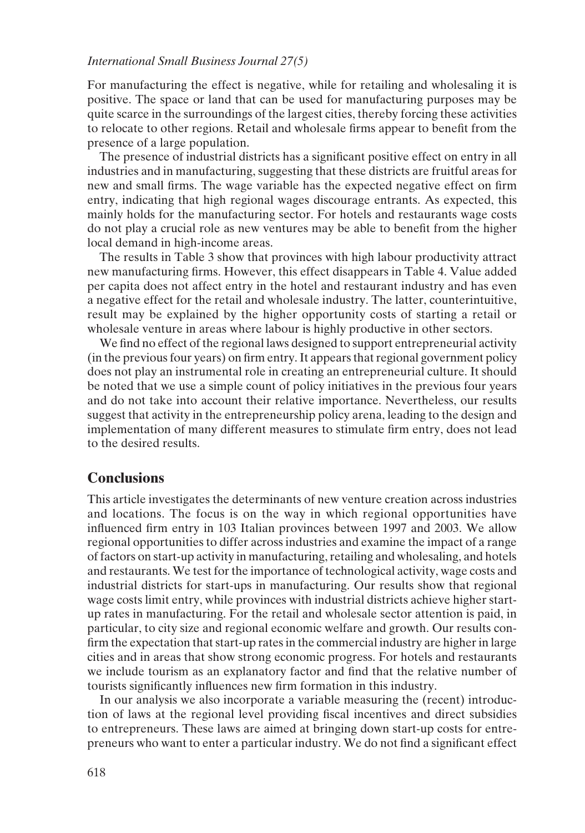For manufacturing the effect is negative, while for retailing and wholesaling it is positive. The space or land that can be used for manufacturing purposes may be quite scarce in the surroundings of the largest cities, thereby forcing these activities to relocate to other regions. Retail and wholesale firms appear to benefit from the presence of a large population.

The presence of industrial districts has a significant positive effect on entry in all industries and in manufacturing, suggesting that these districts are fruitful areas for new and small firms. The wage variable has the expected negative effect on firm entry, indicating that high regional wages discourage entrants. As expected, this mainly holds for the manufacturing sector. For hotels and restaurants wage costs do not play a crucial role as new ventures may be able to benefit from the higher local demand in high-income areas.

The results in Table 3 show that provinces with high labour productivity attract new manufacturing firms. However, this effect disappears in Table 4. Value added per capita does not affect entry in the hotel and restaurant industry and has even a negative effect for the retail and wholesale industry. The latter, counterintuitive, result may be explained by the higher opportunity costs of starting a retail or wholesale venture in areas where labour is highly productive in other sectors.

We find no effect of the regional laws designed to support entrepreneurial activity (in the previous four years) on firm entry. It appears that regional government policy does not play an instrumental role in creating an entrepreneurial culture. It should be noted that we use a simple count of policy initiatives in the previous four years and do not take into account their relative importance. Nevertheless, our results suggest that activity in the entrepreneurship policy arena, leading to the design and implementation of many different measures to stimulate firm entry, does not lead to the desired results.

## **Conclusions**

This article investigates the determinants of new venture creation across industries and locations. The focus is on the way in which regional opportunities have influenced firm entry in 103 Italian provinces between 1997 and 2003. We allow regional opportunities to differ across industries and examine the impact of a range of factors on start-up activity in manufacturing, retailing and wholesaling, and hotels and restaurants. We test for the importance of technological activity, wage costs and industrial districts for start-ups in manufacturing. Our results show that regional wage costs limit entry, while provinces with industrial districts achieve higher startup rates in manufacturing. For the retail and wholesale sector attention is paid, in particular, to city size and regional economic welfare and growth. Our results confirm the expectation that start-up rates in the commercial industry are higher in large cities and in areas that show strong economic progress. For hotels and restaurants we include tourism as an explanatory factor and find that the relative number of tourists significantly influences new firm formation in this industry.

In our analysis we also incorporate a variable measuring the (recent) introduction of laws at the regional level providing fiscal incentives and direct subsidies to entrepreneurs. These laws are aimed at bringing down start-up costs for entrepreneurs who want to enter a particular industry. We do not find a significant effect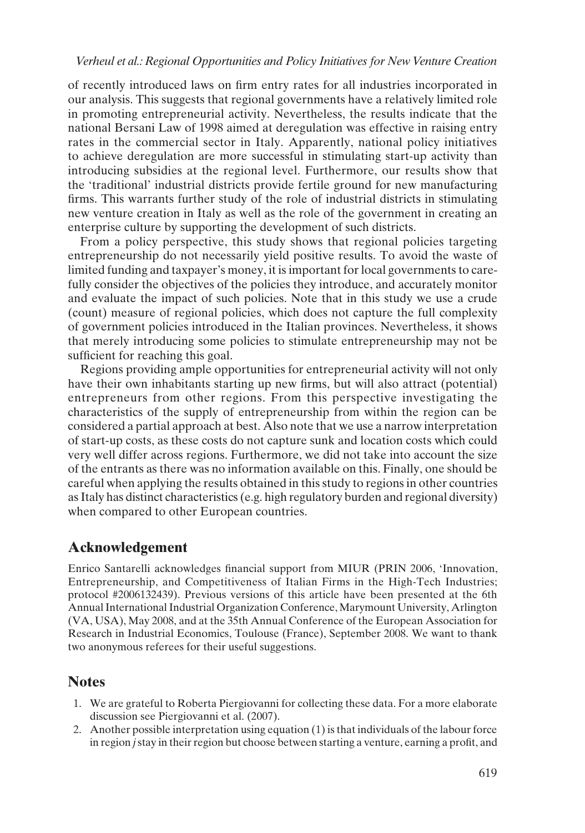of recently introduced laws on firm entry rates for all industries incorporated in our analysis. This suggests that regional governments have a relatively limited role in promoting entrepreneurial activity. Nevertheless, the results indicate that the national Bersani Law of 1998 aimed at deregulation was effective in raising entry rates in the commercial sector in Italy. Apparently, national policy initiatives to achieve deregulation are more successful in stimulating start-up activity than introducing subsidies at the regional level. Furthermore, our results show that the 'traditional' industrial districts provide fertile ground for new manufacturing firms. This warrants further study of the role of industrial districts in stimulating new venture creation in Italy as well as the role of the government in creating an enterprise culture by supporting the development of such districts.

From a policy perspective, this study shows that regional policies targeting entrepreneurship do not necessarily yield positive results. To avoid the waste of limited funding and taxpayer's money, it is important for local governments to carefully consider the objectives of the policies they introduce, and accurately monitor and evaluate the impact of such policies. Note that in this study we use a crude (count) measure of regional policies, which does not capture the full complexity of government policies introduced in the Italian provinces. Nevertheless, it shows that merely introducing some policies to stimulate entrepreneurship may not be sufficient for reaching this goal.

Regions providing ample opportunities for entrepreneurial activity will not only have their own inhabitants starting up new firms, but will also attract (potential) entrepreneurs from other regions. From this perspective investigating the characteristics of the supply of entrepreneurship from within the region can be considered a partial approach at best. Also note that we use a narrow interpretation of start-up costs, as these costs do not capture sunk and location costs which could very well differ across regions. Furthermore, we did not take into account the size of the entrants as there was no information available on this. Finally, one should be careful when applying the results obtained in this study to regions in other countries as Italy has distinct characteristics (e.g. high regulatory burden and regional diversity) when compared to other European countries.

## **Acknowledgement**

Enrico Santarelli acknowledges financial support from MIUR (PRIN 2006, 'Innovation, Entrepreneurship, and Competitiveness of Italian Firms in the High-Tech Industries; protocol #2006132439). Previous versions of this article have been presented at the 6th Annual International Industrial Organization Conference, Marymount University, Arlington (VA, USA), May 2008, and at the 35th Annual Conference of the European Association for Research in Industrial Economics, Toulouse (France), September 2008. We want to thank two anonymous referees for their useful suggestions.

## **Notes**

- 1. We are grateful to Roberta Piergiovanni for collecting these data. For a more elaborate discussion see Piergiovanni et al. (2007).
- 2. Another possible interpretation using equation (1) is that individuals of the labour force in region *j* stay in their region but choose between starting a venture, earning a profit, and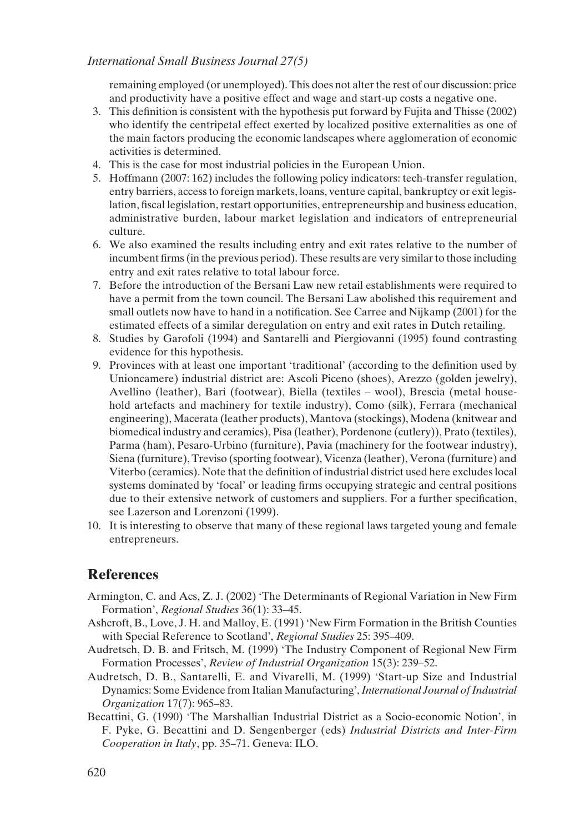remaining employed (or unemployed). This does not alter the rest of our discussion: price and productivity have a positive effect and wage and start-up costs a negative one.

- 3. This definition is consistent with the hypothesis put forward by Fujita and Thisse (2002) who identify the centripetal effect exerted by localized positive externalities as one of the main factors producing the economic landscapes where agglomeration of economic activities is determined.
- 4. This is the case for most industrial policies in the European Union.
- 5. Hoffmann (2007: 162) includes the following policy indicators: tech-transfer regulation, entry barriers, access to foreign markets, loans, venture capital, bankruptcy or exit legislation, fiscal legislation, restart opportunities, entrepreneurship and business education, administrative burden, labour market legislation and indicators of entrepreneurial culture.
- 6. We also examined the results including entry and exit rates relative to the number of incumbent firms (in the previous period). These results are very similar to those including entry and exit rates relative to total labour force.
- 7. Before the introduction of the Bersani Law new retail establishments were required to have a permit from the town council. The Bersani Law abolished this requirement and small outlets now have to hand in a notification. See Carree and Nijkamp (2001) for the estimated effects of a similar deregulation on entry and exit rates in Dutch retailing.
- 8. Studies by Garofoli (1994) and Santarelli and Piergiovanni (1995) found contrasting evidence for this hypothesis.
- 9. Provinces with at least one important 'traditional' (according to the definition used by Unioncamere) industrial district are: Ascoli Piceno (shoes), Arezzo (golden jewelry), Avellino (leather), Bari (footwear), Biella (textiles – wool), Brescia (metal household artefacts and machinery for textile industry), Como (silk), Ferrara (mechanical engineering), Macerata (leather products), Mantova (stockings), Modena (knitwear and biomedical industry and ceramics), Pisa (leather), Pordenone (cutlery)), Prato (textiles), Parma (ham), Pesaro-Urbino (furniture), Pavia (machinery for the footwear industry), Siena (furniture), Treviso (sporting footwear), Vicenza (leather), Verona (furniture) and Viterbo (ceramics). Note that the definition of industrial district used here excludes local systems dominated by 'focal' or leading firms occupying strategic and central positions due to their extensive network of customers and suppliers. For a further specification, see Lazerson and Lorenzoni (1999).
- 10. It is interesting to observe that many of these regional laws targeted young and female entrepreneurs.

# **References**

- Armington, C. and Acs, Z. J. (2002) 'The Determinants of Regional Variation in New Firm Formation', *Regional Studies* 36(1): 33–45.
- Ashcroft, B., Love, J. H. and Malloy, E. (1991) 'New Firm Formation in the British Counties with Special Reference to Scotland', *Regional Studies* 25: 395–409.
- Audretsch, D. B. and Fritsch, M. (1999) 'The Industry Component of Regional New Firm Formation Processes', *Review of Industrial Organization* 15(3): 239–52.
- Audretsch, D. B., Santarelli, E. and Vivarelli, M. (1999) 'Start-up Size and Industrial Dynamics: Some Evidence from Italian Manufacturing', *International Journal of Industrial Organization* 17(7): 965–83.
- Becattini, G. (1990) 'The Marshallian Industrial District as a Socio-economic Notion', in F. Pyke, G. Becattini and D. Sengenberger (eds) *Industrial Districts and Inter-Firm Cooperation in Italy*, pp. 35–71. Geneva: ILO.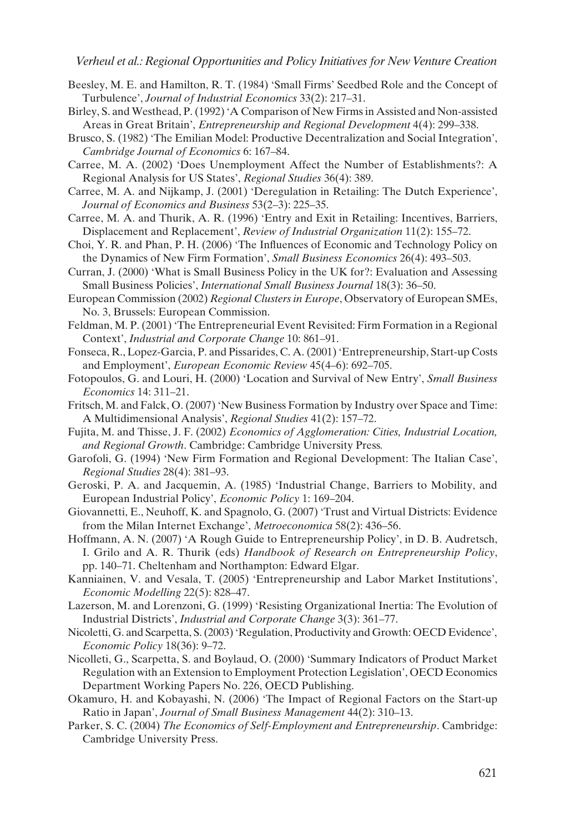- Beesley, M. E. and Hamilton, R. T. (1984) 'Small Firms' Seedbed Role and the Concept of Turbulence', *Journal of Industrial Economics* 33(2): 217–31.
- Birley, S. and Westhead, P. (1992) 'A Comparison of New Firms in Assisted and Non-assisted Areas in Great Britain', *Entrepreneurship and Regional Development* 4(4): 299–338.
- Brusco, S. (1982) 'The Emilian Model: Productive Decentralization and Social Integration', *Cambridge Journal of Economics* 6: 167–84.
- Carree, M. A. (2002) 'Does Unemployment Affect the Number of Establishments?: A Regional Analysis for US States', *Regional Studies* 36(4): 389.
- Carree, M. A. and Nijkamp, J. (2001) 'Deregulation in Retailing: The Dutch Experience', *Journal of Economics and Business* 53(2–3): 225–35.
- Carree, M. A. and Thurik, A. R. (1996) 'Entry and Exit in Retailing: Incentives, Barriers, Displacement and Replacement', *Review of Industrial Organization* 11(2): 155–72.
- Choi, Y. R. and Phan, P. H. (2006) 'The Influences of Economic and Technology Policy on the Dynamics of New Firm Formation', *Small Business Economics* 26(4): 493–503.
- Curran, J. (2000) 'What is Small Business Policy in the UK for?: Evaluation and Assessing Small Business Policies', *International Small Business Journal* 18(3): 36–50.
- European Commission (2002) *Regional Clusters in Europe*, Observatory of European SMEs, No. 3, Brussels: European Commission.
- Feldman, M. P. (2001) 'The Entrepreneurial Event Revisited: Firm Formation in a Regional Context', *Industrial and Corporate Change* 10: 861–91.
- Fonseca, R., Lopez-Garcia, P. and Pissarides, C. A. (2001) 'Entrepreneurship, Start-up Costs and Employment', *European Economic Review* 45(4–6): 692–705.
- Fotopoulos, G. and Louri, H. (2000) 'Location and Survival of New Entry', *Small Business Economics* 14: 311–21.
- Fritsch, M. and Falck, O. (2007) 'New Business Formation by Industry over Space and Time: A Multidimensional Analysis', *Regional Studies* 41(2): 157–72.
- Fujita, M. and Thisse, J. F. (2002) *Economics of Agglomeration: Cities, Industrial Location, and Regional Growth*. Cambridge: Cambridge University Press*.*
- Garofoli, G. (1994) 'New Firm Formation and Regional Development: The Italian Case', *Regional Studies* 28(4): 381–93.
- Geroski, P. A. and Jacquemin, A. (1985) 'Industrial Change, Barriers to Mobility, and European Industrial Policy', *Economic Policy* 1: 169–204.
- Giovannetti, E., Neuhoff, K. and Spagnolo, G. (2007) 'Trust and Virtual Districts: Evidence from the Milan Internet Exchange', *Metroeconomica* 58(2): 436–56.
- Hoffmann, A. N. (2007) 'A Rough Guide to Entrepreneurship Policy', in D. B. Audretsch, I. Grilo and A. R. Thurik (eds) *Handbook of Research on Entrepreneurship Policy*, pp. 140–71. Cheltenham and Northampton: Edward Elgar.
- Kanniainen, V. and Vesala, T. (2005) 'Entrepreneurship and Labor Market Institutions', *Economic Modelling* 22(5): 828–47.
- Lazerson, M. and Lorenzoni, G. (1999) 'Resisting Organizational Inertia: The Evolution of Industrial Districts', *Industrial and Corporate Change* 3(3): 361–77.
- Nicoletti, G. and Scarpetta, S. (2003) 'Regulation, Productivity and Growth: OECD Evidence', *Economic Policy* 18(36): 9–72.
- Nicolleti, G., Scarpetta, S. and Boylaud, O. (2000) 'Summary Indicators of Product Market Regulation with an Extension to Employment Protection Legislation', OECD Economics Department Working Papers No. 226, OECD Publishing.
- Okamuro, H. and Kobayashi, N. (2006) 'The Impact of Regional Factors on the Start-up Ratio in Japan', *Journal of Small Business Management* 44(2): 310–13.
- Parker, S. C. (2004) *The Economics of Self-Employment and Entrepreneurship*. Cambridge: Cambridge University Press.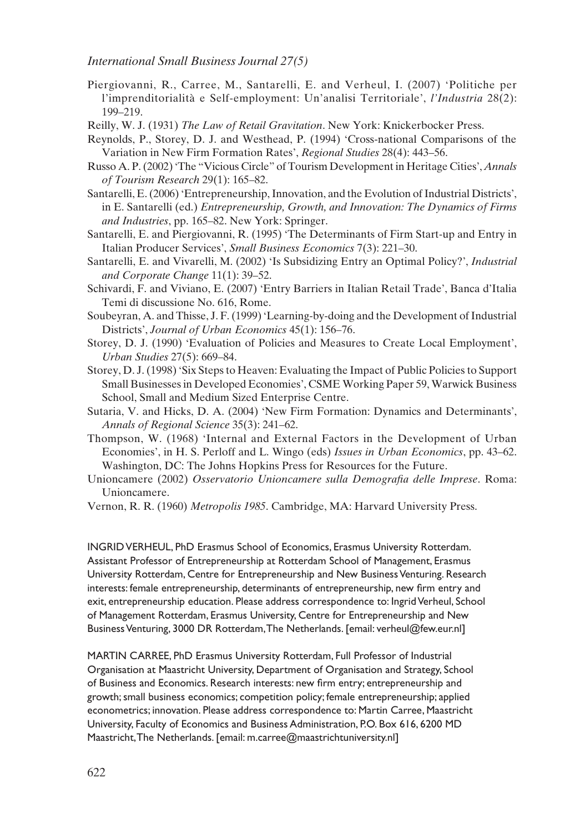- Piergiovanni, R., Carree, M., Santarelli, E. and Verheul, I. (2007) 'Politiche per l'imprenditorialità e Self-employment: Un'analisi Territoriale', *l'Industria* 28(2): 199–219.
- Reilly, W. J. (1931) *The Law of Retail Gravitation*. New York: Knickerbocker Press.
- Reynolds, P., Storey, D. J. and Westhead, P. (1994) 'Cross-national Comparisons of the Variation in New Firm Formation Rates', *Regional Studies* 28(4): 443–56.
- Russo A. P. (2002) 'The "Vicious Circle" of Tourism Development in Heritage Cities', *Annals of Tourism Research* 29(1): 165–82.
- Santarelli, E. (2006) 'Entrepreneurship, Innovation, and the Evolution of Industrial Districts', in E. Santarelli (ed.) *Entrepreneurship, Growth, and Innovation: The Dynamics of Firms and Industries*, pp. 165–82. New York: Springer.
- Santarelli, E. and Piergiovanni, R. (1995) 'The Determinants of Firm Start-up and Entry in Italian Producer Services', *Small Business Economics* 7(3): 221–30.
- Santarelli, E. and Vivarelli, M. (2002) 'Is Subsidizing Entry an Optimal Policy?', *Industrial and Corporate Change* 11(1): 39–52.
- Schivardi, F. and Viviano, E. (2007) 'Entry Barriers in Italian Retail Trade', Banca d'Italia Temi di discussione No. 616, Rome.
- Soubeyran, A. and Thisse, J. F. (1999) 'Learning-by-doing and the Development of Industrial Districts', *Journal of Urban Economics* 45(1): 156–76.
- Storey, D. J. (1990) 'Evaluation of Policies and Measures to Create Local Employment', *Urban Studies* 27(5): 669–84.
- Storey, D. J. (1998) 'Six Steps to Heaven: Evaluating the Impact of Public Policies to Support Small Businesses in Developed Economies', CSME Working Paper 59, Warwick Business School, Small and Medium Sized Enterprise Centre.
- Sutaria, V. and Hicks, D. A. (2004) 'New Firm Formation: Dynamics and Determinants', *Annals of Regional Science* 35(3): 241–62.
- Thompson, W. (1968) 'Internal and External Factors in the Development of Urban Economies', in H. S. Perloff and L. Wingo (eds) *Issues in Urban Economics*, pp. 43–62. Washington, DC: The Johns Hopkins Press for Resources for the Future.
- Unioncamere (2002) *Osservatorio Unioncamere sulla Demografia delle Imprese*. Roma: Unioncamere.

Vernon, R. R. (1960) *Metropolis 1985*. Cambridge, MA: Harvard University Press.

INGRID VERHEUL, PhD Erasmus School of Economics, Erasmus University Rotterdam. Assistant Professor of Entrepreneurship at Rotterdam School of Management, Erasmus University Rotterdam, Centre for Entrepreneurship and New Business Venturing. Research interests: female entrepreneurship, determinants of entrepreneurship, new firm entry and exit, entrepreneurship education. Please address correspondence to: Ingrid Verheul, School of Management Rotterdam, Erasmus University, Centre for Entrepreneurship and New Business Venturing, 3000 DR Rotterdam, The Netherlands. [email: verheul@few.eur.nl]

MARTIN CARREE, PhD Erasmus University Rotterdam, Full Professor of Industrial Organisation at Maastricht University, Department of Organisation and Strategy, School of Business and Economics. Research interests: new firm entry; entrepreneurship and growth; small business economics; competition policy; female entrepreneurship; applied econometrics; innovation. Please address correspondence to: Martin Carree, Maastricht University, Faculty of Economics and Business Administration, P.O. Box 616, 6200 MD Maastricht, The Netherlands. [email: m.carree@maastrichtuniversity.nl]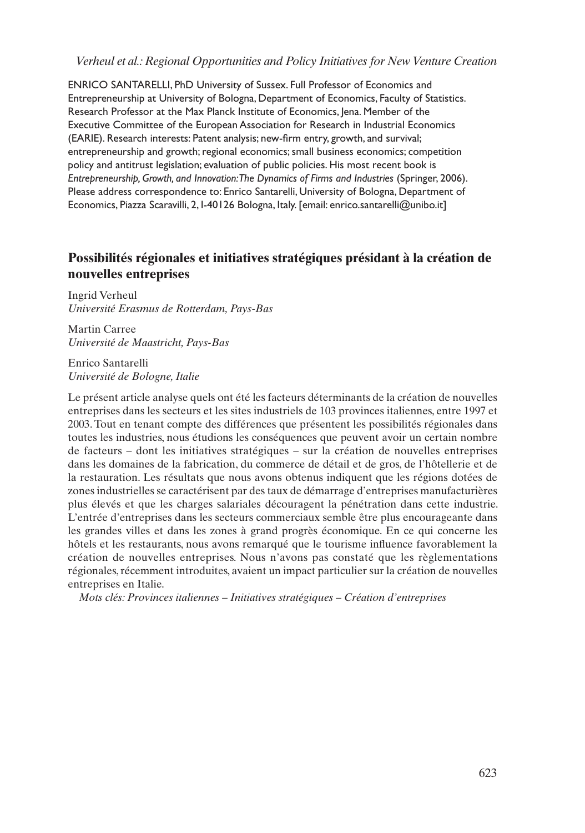ENRICO SANTARELLI, PhD University of Sussex. Full Professor of Economics and Entrepreneurship at University of Bologna, Department of Economics, Faculty of Statistics. Research Professor at the Max Planck Institute of Economics, Jena. Member of the Executive Committee of the European Association for Research in Industrial Economics (EARIE). Research interests: Patent analysis; new-firm entry, growth, and survival; entrepreneurship and growth; regional economics; small business economics; competition policy and antitrust legislation; evaluation of public policies. His most recent book is *Entrepreneurship, Growth, and Innovation: The Dynamics of Firms and Industries* (Springer, 2006). Please address correspondence to: Enrico Santarelli, University of Bologna, Department of Economics, Piazza Scaravilli, 2, I-40126 Bologna, Italy. [email: enrico.santarelli@unibo.it]

# **Possibilités régionales et initiatives stratégiques présidant à la création de nouvelles entreprises**

Ingrid Verheul *Université Erasmus de Rotterdam, Pays-Bas*

Martin Carree *Université de Maastricht, Pays-Bas*

Enrico Santarelli *Université de Bologne, Italie*

Le présent article analyse quels ont été les facteurs déterminants de la création de nouvelles entreprises dans les secteurs et les sites industriels de 103 provinces italiennes, entre 1997 et 2003. Tout en tenant compte des différences que présentent les possibilités régionales dans toutes les industries, nous étudions les conséquences que peuvent avoir un certain nombre de facteurs – dont les initiatives stratégiques – sur la création de nouvelles entreprises dans les domaines de la fabrication, du commerce de détail et de gros, de l'hôtellerie et de la restauration. Les résultats que nous avons obtenus indiquent que les régions dotées de zones industrielles se caractérisent par des taux de démarrage d'entreprises manufacturières plus élevés et que les charges salariales découragent la pénétration dans cette industrie. L'entrée d'entreprises dans les secteurs commerciaux semble être plus encourageante dans les grandes villes et dans les zones à grand progrès économique. En ce qui concerne les hôtels et les restaurants, nous avons remarqué que le tourisme influence favorablement la création de nouvelles entreprises. Nous n'avons pas constaté que les règlementations régionales, récemment introduites, avaient un impact particulier sur la création de nouvelles entreprises en Italie.

 *Mots clés: Provinces italiennes – Initiatives stratégiques – Création d'entreprises*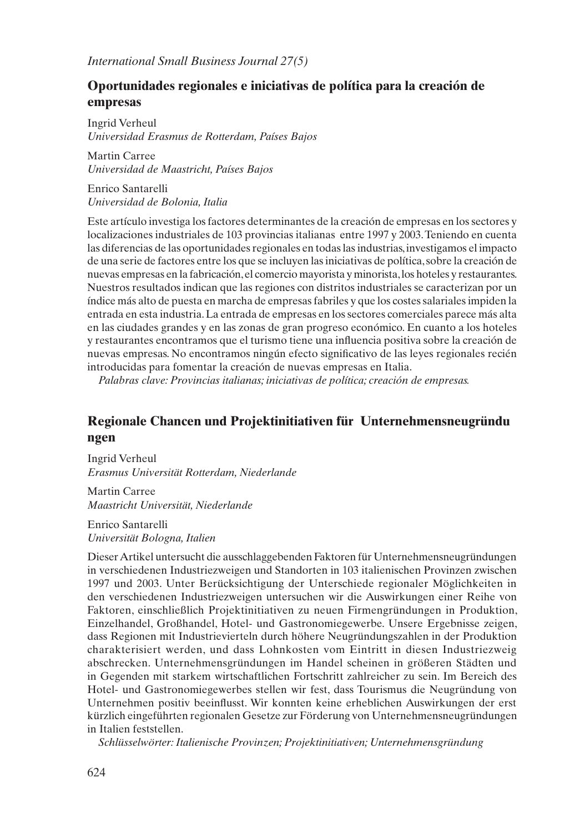# **Oportunidades regionales e iniciativas de política para la creación de empresas**

Ingrid Verheul *Universidad Erasmus de Rotterdam, Países Bajos*

Martin Carree *Universidad de Maastricht, Países Bajos*

Enrico Santarelli *Universidad de Bolonia, Italia*

Este artículo investiga los factores determinantes de la creación de empresas en los sectores y localizaciones industriales de 103 provincias italianas entre 1997 y 2003. Teniendo en cuenta las diferencias de las oportunidades regionales en todas las industrias, investigamos el impacto de una serie de factores entre los que se incluyen las iniciativas de política, sobre la creación de nuevas empresas en la fabricación, el comercio mayorista y minorista, los hoteles y restaurantes. Nuestros resultados indican que las regiones con distritos industriales se caracterizan por un índice más alto de puesta en marcha de empresas fabriles y que los costes salariales impiden la entrada en esta industria. La entrada de empresas en los sectores comerciales parece más alta en las ciudades grandes y en las zonas de gran progreso económico. En cuanto a los hoteles y restaurantes encontramos que el turismo tiene una influencia positiva sobre la creación de nuevas empresas. No encontramos ningún efecto significativo de las leyes regionales recién introducidas para fomentar la creación de nuevas empresas en Italia.

 *Palabras clave: Provincias italianas; iniciativas de política; creación de empresas.*

## **Regionale Chancen und Projektinitiativen für Unternehmensneugründu ngen**

Ingrid Verheul *Erasmus Universität Rotterdam, Niederlande*

Martin Carree *Maastricht Universität, Niederlande*

Enrico Santarelli *Universität Bologna, Italien*

Dieser Artikel untersucht die ausschlaggebenden Faktoren für Unternehmensneugründungen in verschiedenen Industriezweigen und Standorten in 103 italienischen Provinzen zwischen 1997 und 2003. Unter Berücksichtigung der Unterschiede regionaler Möglichkeiten in den verschiedenen Industriezweigen untersuchen wir die Auswirkungen einer Reihe von Faktoren, einschließlich Projektinitiativen zu neuen Firmengründungen in Produktion, Einzelhandel, Großhandel, Hotel- und Gastronomiegewerbe. Unsere Ergebnisse zeigen, dass Regionen mit Industrievierteln durch höhere Neugründungszahlen in der Produktion charakterisiert werden, und dass Lohnkosten vom Eintritt in diesen Industriezweig abschrecken. Unternehmensgründungen im Handel scheinen in größeren Städten und in Gegenden mit starkem wirtschaftlichen Fortschritt zahlreicher zu sein. Im Bereich des Hotel- und Gastronomiegewerbes stellen wir fest, dass Tourismus die Neugründung von Unternehmen positiv beeinflusst. Wir konnten keine erheblichen Auswirkungen der erst kürzlich eingeführten regionalen Gesetze zur Förderung von Unternehmensneugründungen in Italien feststellen.

 *Schlüsselwörter: Italienische Provinzen; Projektinitiativen; Unternehmensgründung*